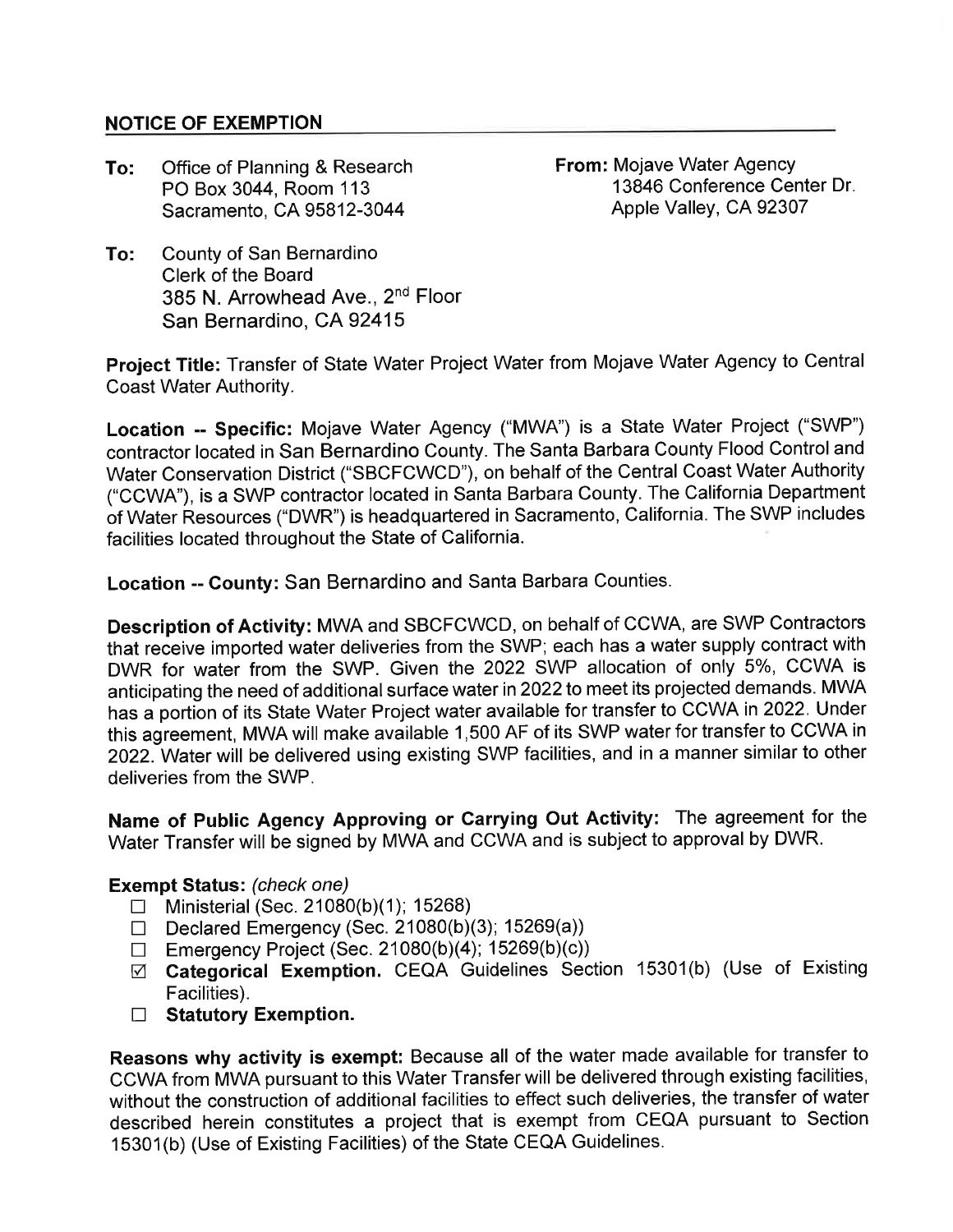## NOTICE OF EXEMPTION

To: Office of Planning & Research PO Box 3044, Room 113 Sacramento, CA 95812-3044

From: Mojave Water Agency 13846 Conference Center Dr Apple Valley, CA 92307

To: County of San Bernardino Clerk of the Board 385 N. Arrowhead Ave., 2<sup>nd</sup> Floor San Bernardino, CA 92415

Project Title: Transfer of State Water Project Water from Mojave Water Agency to Central Coast Water Authority.

Location -- Specific: Mojave Water Agency ("MWA") is a State Water Project ('SWP') contractor located in San Bernardino County. The Santa Barbara County Flood Controland Water Conservation District ("SBCFCWCD'), on behalf of the Central Coast Water Authority ("CCWA"), is a SWP contractor located in Santa Barbara County. The California Department of Water Resources ("DWR") is headquartered in Sacramento, California. The SWP includes facilities located throughout the State of California.

Location -- County: San Bernardino and Santa Barbara Counties.

Description of Activity: MWA and SBCFCWCD, on behalf of CCWA, are SWP Contractors that receive imported water deliveries from the SWP; each has a water supply contract with DWR for water from the SWP. Given the 2022 SWP allocation of only 5%, CCWA is anticipating the need of additional surface water in 2022 to meet its projected demands. MWA has a portion of its State Water Project water available for transfer to CCWA in 2022. Under this agreement, MWA will make available 1,500 AF of its SWP water for transfer to CCWA in 2022. Water will be delivered using existing SWP facilities, and in a manner similar to other deliveries from the SWP.

Name of Public Agency Approving or Carrying Out Activity: The agreement for the Water Transfer will be signed by MWA and CCWA and is subject to approval by DWR.

## Exempt Status: (check one)

- $\Box$  Ministerial (Sec. 21080(b)(1); 15268)
- D Declared Emergency (Sec. 21080(b)(3); 15269(a))
- $\Box$  Emergency Project (Sec. 21080(b)(4); 15269(b)(c))
- ø Gategorical Exemption. CEQA Guidelines Section 15301(b) (Use of Existing Facilities).
- $\Box$  Statutory Exemption.

Reasons why activity is exempt: Because all of the water made available for transfer to CCWA from MWA pursuant to this Water Transfer will be delivered through existing facilities, without the construction of additional facilities to effect such deliveries, the transfer of water described herein constitutes a project that is exempt from CEQA pursuant to Section 15301(b) (Use of Existing Facilities) of the State CEQA Guidelines.